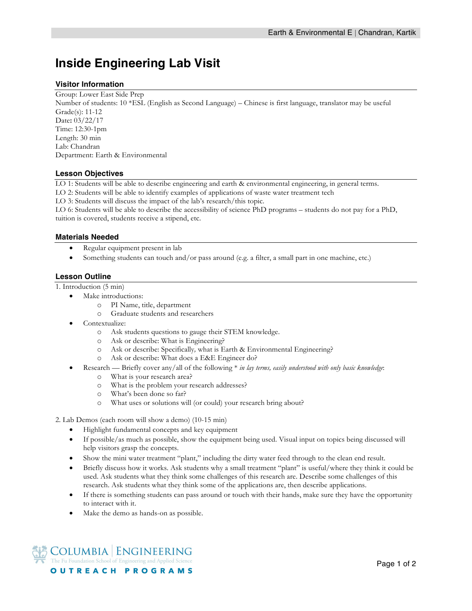# **Inside Engineering Lab Visit**

#### **Visitor Information**

Group: Lower East Side Prep Number of students: 10 \*ESL (English as Second Language) – Chinese is first language, translator may be useful Grade(s): 11-12 Date**:** 03/22/17 Time: 12:30-1pm Length: 30 min Lab: Chandran Department: Earth & Environmental

### **Lesson Objectives**

LO 1: Students will be able to describe engineering and earth & environmental engineering, in general terms.

LO 2: Students will be able to identify examples of applications of waste water treatment tech

LO 3: Students will discuss the impact of the lab's research/this topic.

LO 6: Students will be able to describe the accessibility of science PhD programs – students do not pay for a PhD, tuition is covered, students receive a stipend, etc.

#### **Materials Needed**

- Regular equipment present in lab
- Something students can touch and/or pass around (e.g. a filter, a small part in one machine, etc.)

## **Lesson Outline**

1. Introduction (5 min)

- Make introductions:
	- o PI Name, title, department
	- o Graduate students and researchers
- Contextualize:
	- o Ask students questions to gauge their STEM knowledge.
	- o Ask or describe: What is Engineering?
	- o Ask or describe: Specifically*,* what is Earth & Environmental Engineering?
	- o Ask or describe: What does a E&E Engineer do?
- Research Briefly cover any/all of the following \* *in lay terms, easily understood with only basic knowledge*:
	- o What is your research area?
		- o What is the problem your research addresses?
		- o What's been done so far?
	- o What uses or solutions will (or could) your research bring about?

2. Lab Demos (each room will show a demo) (10-15 min)

- Highlight fundamental concepts and key equipment
- If possible/as much as possible, show the equipment being used. Visual input on topics being discussed will help visitors grasp the concepts.
- Show the mini water treatment "plant," including the dirty water feed through to the clean end result.
- Briefly discuss how it works. Ask students why a small treatment "plant" is useful/where they think it could be used. Ask students what they think some challenges of this research are. Describe some challenges of this research. Ask students what they think some of the applications are, then describe applications.
- If there is something students can pass around or touch with their hands, make sure they have the opportunity to interact with it.
- Make the demo as hands-on as possible.